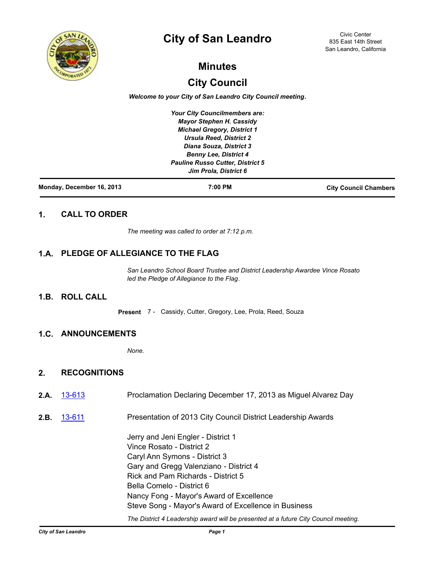

# **City of San Leandro**

Civic Center 835 East 14th Street San Leandro, California

# **Minutes**

# **City Council**

*Welcome to your City of San Leandro City Council meeting.*

*Your City Councilmembers are: Mayor Stephen H. Cassidy Michael Gregory, District 1 Ursula Reed, District 2 Diana Souza, District 3 Benny Lee, District 4 Pauline Russo Cutter, District 5 Jim Prola, District 6*

| Monday, December 16, 2013 | 7:00 PM | <b>City Council Chambers</b> |
|---------------------------|---------|------------------------------|
|                           |         |                              |

# **1. CALL TO ORDER**

*The meeting was called to order at 7:12 p.m.*

# **1.A. PLEDGE OF ALLEGIANCE TO THE FLAG**

*San Leandro School Board Trustee and District Leadership Awardee Vince Rosato led the Pledge of Allegiance to the Flag.*

# **1.B. ROLL CALL**

**Present** 7 - Cassidy, Cutter, Gregory, Lee, Prola, Reed, Souza

# **1.C. ANNOUNCEMENTS**

*None.*

# **2. RECOGNITIONS**

- 2.A. [13-613](http://sanleandro.legistar.com/gateway.aspx?m=l&id=/matter.aspx?key=2755) Proclamation Declaring December 17, 2013 as Miguel Alvarez Day
- **2.B.** [13-611](http://sanleandro.legistar.com/gateway.aspx?m=l&id=/matter.aspx?key=2753) Presentation of 2013 City Council District Leadership Awards

Jerry and Jeni Engler - District 1 Vince Rosato - District 2 Caryl Ann Symons - District 3 Gary and Gregg Valenziano - District 4 Rick and Pam Richards - District 5 Bella Comelo - District 6 Nancy Fong - Mayor's Award of Excellence Steve Song - Mayor's Award of Excellence in Business

*The District 4 Leadership award will be presented at a future City Council meeting.*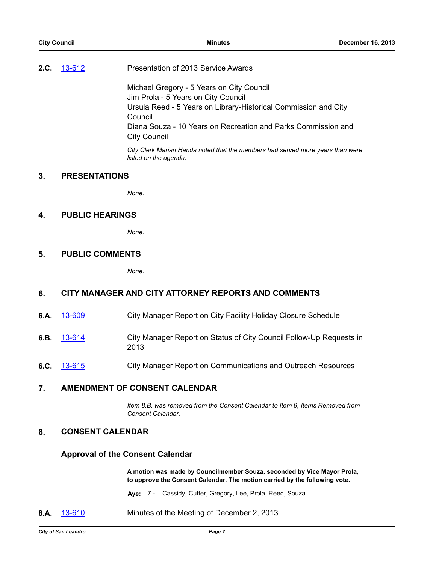### **2.C.** [13-612](http://sanleandro.legistar.com/gateway.aspx?m=l&id=/matter.aspx?key=2754) Presentation of 2013 Service Awards

Michael Gregory - 5 Years on City Council Jim Prola - 5 Years on City Council Ursula Reed - 5 Years on Library-Historical Commission and City Council Diana Souza - 10 Years on Recreation and Parks Commission and City Council *City Clerk Marian Handa noted that the members had served more years than were* 

# *listed on the agenda.*

*None.*

# **4. PUBLIC HEARINGS**

**3. PRESENTATIONS**

*None.*

# **5. PUBLIC COMMENTS**

*None.*

# **6. CITY MANAGER AND CITY ATTORNEY REPORTS AND COMMENTS**

- **6.A.** [13-609](http://sanleandro.legistar.com/gateway.aspx?m=l&id=/matter.aspx?key=2751) City Manager Report on City Facility Holiday Closure Schedule
- **6.B.** [13-614](http://sanleandro.legistar.com/gateway.aspx?m=l&id=/matter.aspx?key=2756) City Manager Report on Status of City Council Follow-Up Requests in 2013
- **6.C.** [13-615](http://sanleandro.legistar.com/gateway.aspx?m=l&id=/matter.aspx?key=2757) City Manager Report on Communications and Outreach Resources

### **7. AMENDMENT OF CONSENT CALENDAR**

*Item 8.B. was removed from the Consent Calendar to Item 9, Items Removed from Consent Calendar.*

# **8. CONSENT CALENDAR**

#### **Approval of the Consent Calendar**

**A motion was made by Councilmember Souza, seconded by Vice Mayor Prola, to approve the Consent Calendar. The motion carried by the following vote.**

**Aye:** 7 - Cassidy, Cutter, Gregory, Lee, Prola, Reed, Souza

**8.A.** [13-610](http://sanleandro.legistar.com/gateway.aspx?m=l&id=/matter.aspx?key=2752) Minutes of the Meeting of December 2, 2013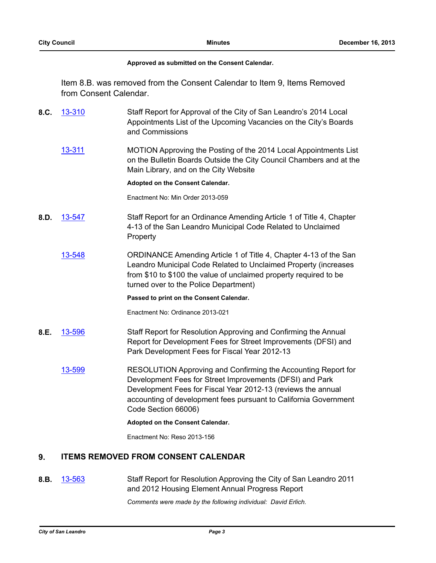#### **Approved as submitted on the Consent Calendar.**

Item 8.B. was removed from the Consent Calendar to Item 9, Items Removed from Consent Calendar.

- **8.C.** [13-310](http://sanleandro.legistar.com/gateway.aspx?m=l&id=/matter.aspx?key=2452) Staff Report for Approval of the City of San Leandro's 2014 Local Appointments List of the Upcoming Vacancies on the City's Boards and Commissions
	- [13-311](http://sanleandro.legistar.com/gateway.aspx?m=l&id=/matter.aspx?key=2453) MOTION Approving the Posting of the 2014 Local Appointments List on the Bulletin Boards Outside the City Council Chambers and at the Main Library, and on the City Website

#### **Adopted on the Consent Calendar.**

Enactment No: Min Order 2013-059

- **8.D.** [13-547](http://sanleandro.legistar.com/gateway.aspx?m=l&id=/matter.aspx?key=2689) Staff Report for an Ordinance Amending Article 1 of Title 4, Chapter 4-13 of the San Leandro Municipal Code Related to Unclaimed Property
	- [13-548](http://sanleandro.legistar.com/gateway.aspx?m=l&id=/matter.aspx?key=2690) ORDINANCE Amending Article 1 of Title 4, Chapter 4-13 of the San Leandro Municipal Code Related to Unclaimed Property (increases from \$10 to \$100 the value of unclaimed property required to be turned over to the Police Department)

#### **Passed to print on the Consent Calendar.**

Enactment No: Ordinance 2013-021

- **8.E.** [13-596](http://sanleandro.legistar.com/gateway.aspx?m=l&id=/matter.aspx?key=2738) Staff Report for Resolution Approving and Confirming the Annual Report for Development Fees for Street Improvements (DFSI) and Park Development Fees for Fiscal Year 2012-13
	- [13-599](http://sanleandro.legistar.com/gateway.aspx?m=l&id=/matter.aspx?key=2741) RESOLUTION Approving and Confirming the Accounting Report for Development Fees for Street Improvements (DFSI) and Park Development Fees for Fiscal Year 2012-13 (reviews the annual accounting of development fees pursuant to California Government Code Section 66006)

#### **Adopted on the Consent Calendar.**

Enactment No: Reso 2013-156

# **9. ITEMS REMOVED FROM CONSENT CALENDAR**

**8.B.** [13-563](http://sanleandro.legistar.com/gateway.aspx?m=l&id=/matter.aspx?key=2705) Staff Report for Resolution Approving the City of San Leandro 2011 and 2012 Housing Element Annual Progress Report

*Comments were made by the following individual: David Erlich.*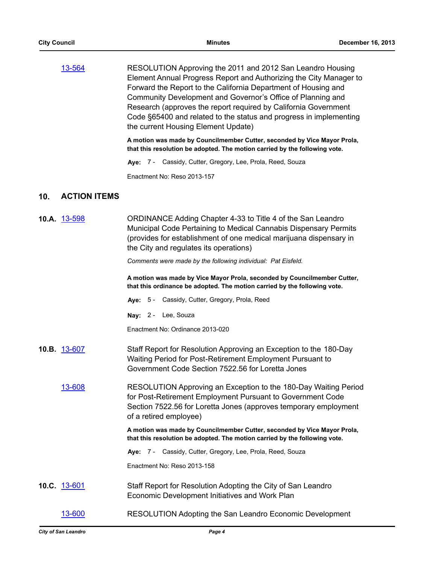| 13-564 | RESOLUTION Approving the 2011 and 2012 San Leandro Housing         |
|--------|--------------------------------------------------------------------|
|        | Element Annual Progress Report and Authorizing the City Manager to |
|        | Forward the Report to the California Department of Housing and     |
|        | Community Development and Governor's Office of Planning and        |
|        | Research (approves the report required by California Government    |
|        | Code §65400 and related to the status and progress in implementing |
|        | the current Housing Element Update)                                |

**A motion was made by Councilmember Cutter, seconded by Vice Mayor Prola, that this resolution be adopted. The motion carried by the following vote.**

**Aye:** 7 - Cassidy, Cutter, Gregory, Lee, Prola, Reed, Souza

Enactment No: Reso 2013-157

# **10. ACTION ITEMS**

| 10.A. 13-598 | ORDINANCE Adding Chapter 4-33 to Title 4 of the San Leandro<br>Municipal Code Pertaining to Medical Cannabis Dispensary Permits<br>(provides for establishment of one medical marijuana dispensary in<br>the City and regulates its operations)<br>Comments were made by the following individual: Pat Eisfeld.<br>A motion was made by Vice Mayor Prola, seconded by Councilmember Cutter,<br>that this ordinance be adopted. The motion carried by the following vote.<br>Aye: 5 - Cassidy, Cutter, Gregory, Prola, Reed<br>Nay: 2 - Lee, Souza<br>Enactment No: Ordinance 2013-020 |
|--------------|---------------------------------------------------------------------------------------------------------------------------------------------------------------------------------------------------------------------------------------------------------------------------------------------------------------------------------------------------------------------------------------------------------------------------------------------------------------------------------------------------------------------------------------------------------------------------------------|
| 10.B. 13-607 | Staff Report for Resolution Approving an Exception to the 180-Day<br>Waiting Period for Post-Retirement Employment Pursuant to<br>Government Code Section 7522.56 for Loretta Jones                                                                                                                                                                                                                                                                                                                                                                                                   |
| 13-608       | RESOLUTION Approving an Exception to the 180-Day Waiting Period<br>for Post-Retirement Employment Pursuant to Government Code<br>Section 7522.56 for Loretta Jones (approves temporary employment<br>of a retired employee)                                                                                                                                                                                                                                                                                                                                                           |
|              | A motion was made by Councilmember Cutter, seconded by Vice Mayor Prola,<br>that this resolution be adopted. The motion carried by the following vote.                                                                                                                                                                                                                                                                                                                                                                                                                                |
|              | Aye: 7 - Cassidy, Cutter, Gregory, Lee, Prola, Reed, Souza                                                                                                                                                                                                                                                                                                                                                                                                                                                                                                                            |
|              | Enactment No: Reso 2013-158                                                                                                                                                                                                                                                                                                                                                                                                                                                                                                                                                           |
| 10.C. 13-601 | Staff Report for Resolution Adopting the City of San Leandro<br>Economic Development Initiatives and Work Plan                                                                                                                                                                                                                                                                                                                                                                                                                                                                        |
| 13-600       | RESOLUTION Adopting the San Leandro Economic Development                                                                                                                                                                                                                                                                                                                                                                                                                                                                                                                              |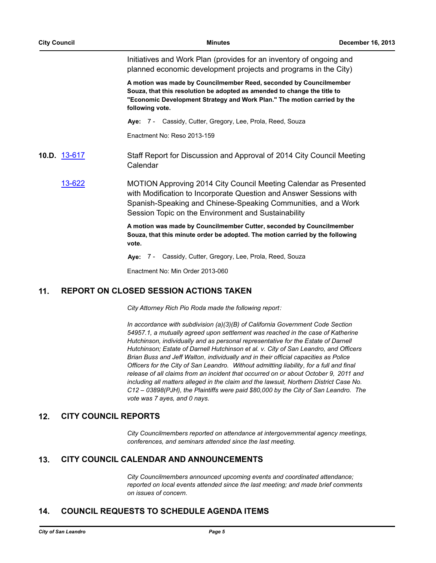Initiatives and Work Plan (provides for an inventory of ongoing and planned economic development projects and programs in the City)

**A motion was made by Councilmember Reed, seconded by Councilmember Souza, that this resolution be adopted as amended to change the title to "Economic Development Strategy and Work Plan." The motion carried by the following vote.**

**Aye:** 7 - Cassidy, Cutter, Gregory, Lee, Prola, Reed, Souza

Enactment No: Reso 2013-159

- **10.D.** [13-617](http://sanleandro.legistar.com/gateway.aspx?m=l&id=/matter.aspx?key=2759) Staff Report for Discussion and Approval of 2014 City Council Meeting Calendar
	- [13-622](http://sanleandro.legistar.com/gateway.aspx?m=l&id=/matter.aspx?key=2764) MOTION Approving 2014 City Council Meeting Calendar as Presented with Modification to Incorporate Question and Answer Sessions with Spanish-Speaking and Chinese-Speaking Communities, and a Work Session Topic on the Environment and Sustainability

**A motion was made by Councilmember Cutter, seconded by Councilmember Souza, that this minute order be adopted. The motion carried by the following vote.**

**Aye:** 7 - Cassidy, Cutter, Gregory, Lee, Prola, Reed, Souza

Enactment No: Min Order 2013-060

# **11. REPORT ON CLOSED SESSION ACTIONS TAKEN**

*City Attorney Rich Pio Roda made the following report:*

*In accordance with subdivision (a)(3)(B) of California Government Code Section 54957.1, a mutually agreed upon settlement was reached in the case of Katherine Hutchinson, individually and as personal representative for the Estate of Darnell Hutchinson; Estate of Darnell Hutchinson et al. v. City of San Leandro, and Officers Brian Buss and Jeff Walton, individually and in their official capacities as Police Officers for the City of San Leandro. Without admitting liability, for a full and final release of all claims from an incident that occurred on or about October 9, 2011 and including all matters alleged in the claim and the lawsuit, Northern District Case No. C12 – 03898(PJH), the Plaintiffs were paid \$80,000 by the City of San Leandro. The vote was 7 ayes, and 0 nays.*

#### **12. CITY COUNCIL REPORTS**

*City Councilmembers reported on attendance at intergovernmental agency meetings, conferences, and seminars attended since the last meeting.*

#### **13. CITY COUNCIL CALENDAR AND ANNOUNCEMENTS**

*City Councilmembers announced upcoming events and coordinated attendance; reported on local events attended since the last meeting; and made brief comments on issues of concern.*

## **14. COUNCIL REQUESTS TO SCHEDULE AGENDA ITEMS**